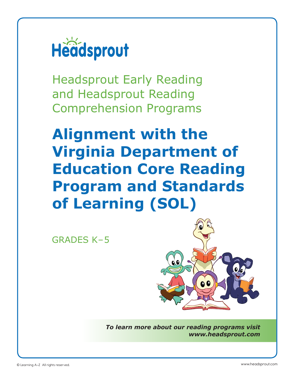

Headsprout Early Reading and Headsprout Reading Comprehension Programs

**Alignment with the Virginia Department of Education Core Reading Program and Standards of Learning (SOL)**

GRADES K–5



*To learn more about our reading programs visit www.headsprout.com*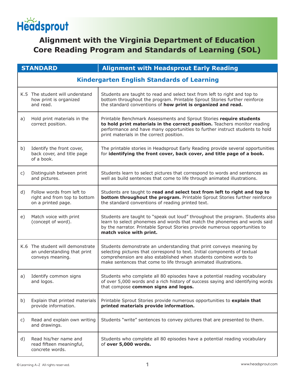# Headsprout

# **Alignment with the Virginia Department of Education Core Reading Program and Standards of Learning (SOL)**

|              | <b>STANDARD</b>                                                                     | <b>Alignment with Headsprout Early Reading</b>                                                                                                                                                                                                                                            |  |
|--------------|-------------------------------------------------------------------------------------|-------------------------------------------------------------------------------------------------------------------------------------------------------------------------------------------------------------------------------------------------------------------------------------------|--|
|              | <b>Kindergarten English Standards of Learning</b>                                   |                                                                                                                                                                                                                                                                                           |  |
|              | K.5 The student will understand<br>how print is organized<br>and read.              | Students are taught to read and select text from left to right and top to<br>bottom throughout the program. Printable Sprout Stories further reinforce<br>the standard conventions of how print is organized and read.                                                                    |  |
| a)           | Hold print materials in the<br>correct position.                                    | Printable Benchmark Assessments and Sprout Stories require students<br>to hold print materials in the correct position. Teachers monitor reading<br>performance and have many opportunities to further instruct students to hold<br>print materials in the correct position.              |  |
| b)           | Identify the front cover,<br>back cover, and title page<br>of a book.               | The printable stories in Headsprout Early Reading provide several opportunities<br>for identifying the front cover, back cover, and title page of a book.                                                                                                                                 |  |
| $\mathsf{C}$ | Distinguish between print<br>and pictures.                                          | Students learn to select pictures that correspond to words and sentences as<br>well as build sentences that come to life through animated illustrations.                                                                                                                                  |  |
| d)           | Follow words from left to<br>right and from top to bottom<br>on a printed page.     | Students are taught to read and select text from left to right and top to<br>bottom throughout the program. Printable Sprout Stories further reinforce<br>the standard conventions of reading printed text.                                                                               |  |
| e)           | Match voice with print<br>(concept of word).                                        | Students are taught to "speak out loud" throughout the program. Students also<br>learn to select phonemes and words that match the phonemes and words said<br>by the narrator. Printable Sprout Stories provide numerous opportunities to<br>match voice with print.                      |  |
|              | K.6 The student will demonstrate<br>an understanding that print<br>conveys meaning. | Students demonstrate an understanding that print conveys meaning by<br>selecting pictures that correspond to text. Initial components of textual<br>comprehension are also established when students combine words to<br>make sentences that come to life through animated illustrations. |  |
| a)           | Identify common signs<br>and logos.                                                 | Students who complete all 80 episodes have a potential reading vocabulary<br>of over 5,000 words and a rich history of success saying and identifying words<br>that compose common signs and logos.                                                                                       |  |
| b)           | Explain that printed materials<br>provide information.                              | Printable Sprout Stories provide numerous opportunities to explain that<br>printed materials provide information.                                                                                                                                                                         |  |
| C)           | Read and explain own writing<br>and drawings.                                       | Students "write" sentences to convey pictures that are presented to them.                                                                                                                                                                                                                 |  |
| d)           | Read his/her name and<br>read fifteen meaningful,<br>concrete words.                | Students who complete all 80 episodes have a potential reading vocabulary<br>of over 5,000 words.                                                                                                                                                                                         |  |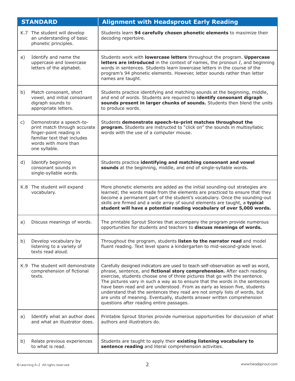|    | <b>STANDARD</b>                                                                                                                                             | <b>Alignment with Headsprout Early Reading</b>                                                                                                                                                                                                                                                                                                                                                                                                                                                                                                                                                               |
|----|-------------------------------------------------------------------------------------------------------------------------------------------------------------|--------------------------------------------------------------------------------------------------------------------------------------------------------------------------------------------------------------------------------------------------------------------------------------------------------------------------------------------------------------------------------------------------------------------------------------------------------------------------------------------------------------------------------------------------------------------------------------------------------------|
|    | K.7 The student will develop<br>an understanding of basic<br>phonetic principles.                                                                           | Students learn 94 carefully chosen phonetic elements to maximize their<br>decoding repertoire.                                                                                                                                                                                                                                                                                                                                                                                                                                                                                                               |
| a) | Identify and name the<br>uppercase and lowercase<br>letters of the alphabet.                                                                                | Students work with lowercase letters throughout the program. Uppercase<br>letters are introduced in the context of names, the pronoun $I$ , and beginning<br>words in sentences. Students learn lowercase letters in the course of the<br>program's 94 phonetic elements. However, letter sounds rather than letter<br>names are taught.                                                                                                                                                                                                                                                                     |
| b) | Match consonant, short<br>vowel, and initial consonant<br>digraph sounds to<br>appropriate letters.                                                         | Students practice identifying and matching sounds at the beginning, middle,<br>and end of words. Students are required to identify consonant digraph<br>sounds present in larger chunks of sounds. Students then blend the units<br>to produce words.                                                                                                                                                                                                                                                                                                                                                        |
| c) | Demonstrate a speech-to-<br>print match through accurate<br>finger-point reading in<br>familiar text that includes<br>words with more than<br>one syllable. | Students demonstrate speech-to-print matches throughout the<br>program. Students are instructed to "click on" the sounds in multisyllabic<br>words with the use of a computer mouse.                                                                                                                                                                                                                                                                                                                                                                                                                         |
| d) | Identify beginning<br>consonant sounds in<br>single-syllable words.                                                                                         | Students practice identifying and matching consonant and vowel<br>sounds at the beginning, middle, and end of single-syllable words.                                                                                                                                                                                                                                                                                                                                                                                                                                                                         |
|    | K.8 The student will expand<br>vocabulary.                                                                                                                  | More phonetic elements are added as the initial sounding-out strategies are<br>learned; the words made from the elements are practiced to ensure that they<br>become a permanent part of the student's vocabulary. Once the sounding-out<br>skills are firmed and a wide array of sound elements are taught, a typical<br>student will have a potential reading vocabulary of over 5,000 words.                                                                                                                                                                                                              |
| a) | Discuss meanings of words.                                                                                                                                  | The printable Sprout Stories that accompany the program provide numerous<br>opportunities for students and teachers to discuss meanings of words.                                                                                                                                                                                                                                                                                                                                                                                                                                                            |
| b) | Develop vocabulary by<br>listening to a variety of<br>texts read aloud.                                                                                     | Throughout the program, students listen to the narrator read and model<br>fluent reading. Text level spans a kindergarten to mid-second-grade level.                                                                                                                                                                                                                                                                                                                                                                                                                                                         |
|    | K.9 The student will demonstrate<br>comprehension of fictional<br>texts.                                                                                    | Carefully designed indicators are used to teach self-observation as well as word,<br>phrase, sentence, and fictional story comprehension. After each reading<br>exercise, students choose one of three pictures that go with the sentence.<br>The pictures vary in such a way as to ensure that the words in the sentences<br>have been read and are understood. From as early as lesson five, students<br>understand that the sentences they read are not simply lists of words, but<br>are units of meaning. Eventually, students answer written comprehension<br>questions after reading entire passages. |
| a) | Identify what an author does<br>and what an illustrator does.                                                                                               | Printable Sprout Stories provide numerous opportunities for discussion of what<br>authors and illustrators do.                                                                                                                                                                                                                                                                                                                                                                                                                                                                                               |
| b) | Relate previous experiences<br>to what is read.                                                                                                             | Students are taught to apply their existing listening vocabulary to<br>sentence reading and literal comprehension activities.                                                                                                                                                                                                                                                                                                                                                                                                                                                                                |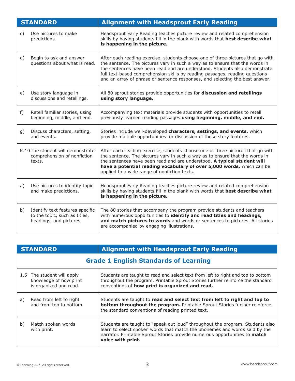|    | <b>STANDARD</b>                                                                             | <b>Alignment with Headsprout Early Reading</b>                                                                                                                                                                                                                                                                                                                                                               |
|----|---------------------------------------------------------------------------------------------|--------------------------------------------------------------------------------------------------------------------------------------------------------------------------------------------------------------------------------------------------------------------------------------------------------------------------------------------------------------------------------------------------------------|
| C) | Use pictures to make<br>predictions.                                                        | Headsprout Early Reading teaches picture review and related comprehension<br>skills by having students fill in the blank with words that best describe what<br>is happening in the picture.                                                                                                                                                                                                                  |
| d) | Begin to ask and answer<br>questions about what is read.                                    | After each reading exercise, students choose one of three pictures that go with<br>the sentence. The pictures vary in such a way as to ensure that the words in<br>the sentences have been read and are understood. Students also demonstrate<br>full text-based comprehension skills by reading passages, reading questions<br>and an array of phrase or sentence responses, and selecting the best answer. |
| e) | Use story language in<br>discussions and retellings.                                        | All 80 sprout stories provide opportunities for discussion and retellings<br>using story language.                                                                                                                                                                                                                                                                                                           |
| f) | Retell familiar stories, using<br>beginning, middle, and end.                               | Accompanying text materials provide students with opportunities to retell<br>previously learned reading passages using beginning, middle, and end.                                                                                                                                                                                                                                                           |
| g) | Discuss characters, setting,<br>and events.                                                 | Stories include well-developed characters, settings, and events, which<br>provide multiple opportunities for discussion of those story features.                                                                                                                                                                                                                                                             |
|    | K.10 The student will demonstrate<br>comprehension of nonfiction<br>texts.                  | After each reading exercise, students choose one of three pictures that go with<br>the sentence. The pictures vary in such a way as to ensure that the words in<br>the sentences have been read and are understood. A typical student will<br>have a potential reading vocabulary of over 5,000 words, which can be<br>applied to a wide range of nonfiction texts.                                          |
| a) | Use pictures to identify topic<br>and make predictions.                                     | Headsprout Early Reading teaches picture review and related comprehension<br>skills by having students fill in the blank with words that best describe what<br>is happening in the picture.                                                                                                                                                                                                                  |
| b) | Identify text features specific<br>to the topic, such as titles,<br>headings, and pictures. | The 80 stories that accompany the program provide students and teachers<br>with numerous opportunities to identify and read titles and headings,<br>and match pictures to words and words or sentences to pictures. All stories<br>are accompanied by engaging illustrations.                                                                                                                                |

|    | <b>STANDARD</b>                                                                | <b>Alignment with Headsprout Early Reading</b>                                                                                                                                                                                                                 |  |
|----|--------------------------------------------------------------------------------|----------------------------------------------------------------------------------------------------------------------------------------------------------------------------------------------------------------------------------------------------------------|--|
|    | <b>Grade 1 English Standards of Learning</b>                                   |                                                                                                                                                                                                                                                                |  |
|    | 1.5 The student will apply<br>knowledge of how print<br>is organized and read. | Students are taught to read and select text from left to right and top to bottom<br>throughout the program. Printable Sprout Stories further reinforce the standard<br>conventions of how print is organized and read.                                         |  |
| a) | Read from left to right<br>and from top to bottom.                             | Students are taught to read and select text from left to right and top to<br>bottom throughout the program. Printable Sprout Stories further reinforce<br>the standard conventions of reading printed text.                                                    |  |
| b) | Match spoken words<br>with print.                                              | Students are taught to "speak out loud" throughout the program. Students also<br>learn to select spoken words that match the phonemes and words said by the<br>narrator. Printable Sprout Stories provide numerous opportunities to match<br>voice with print. |  |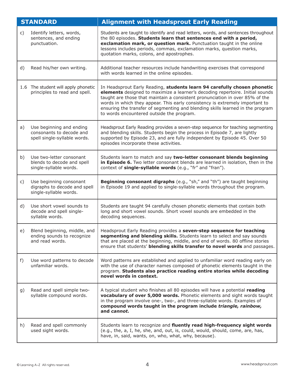|    | <b>STANDARD</b>                                                                      | <b>Alignment with Headsprout Early Reading</b>                                                                                                                                                                                                                                                                                                                                                                                                           |
|----|--------------------------------------------------------------------------------------|----------------------------------------------------------------------------------------------------------------------------------------------------------------------------------------------------------------------------------------------------------------------------------------------------------------------------------------------------------------------------------------------------------------------------------------------------------|
| C) | Identify letters, words,<br>sentences, and ending<br>punctuation.                    | Students are taught to identify and read letters, words, and sentences throughout<br>the 80 episodes. Students learn that sentences end with a period,<br>exclamation mark, or question mark. Punctuation taught in the online<br>lessons includes periods, commas, exclamation marks, question marks,<br>quotation marks, colons, and apostrophes.                                                                                                      |
| d) | Read his/her own writing.                                                            | Additional teacher resources include handwriting exercises that correspond<br>with words learned in the online episodes.                                                                                                                                                                                                                                                                                                                                 |
|    | 1.6 The student will apply phonetic<br>principles to read and spell.                 | In Headsprout Early Reading, students learn 94 carefully chosen phonetic<br>elements designed to maximize a learner's decoding repertoire. Initial sounds<br>taught are those that maintain a consistent pronunciation in over 85% of the<br>words in which they appear. This early consistency is extremely important to<br>ensuring the transfer of segmenting and blending skills learned in the program<br>to words encountered outside the program. |
| a) | Use beginning and ending<br>consonants to decode and<br>spell single-syllable words. | Headsprout Early Reading provides a seven-step sequence for teaching segmenting<br>and blending skills. Students begin the process in Episode 7, are lightly<br>supported by Episode 23, and are fully independent by Episode 45. Over 50<br>episodes incorporate these activities.                                                                                                                                                                      |
| b) | Use two-letter consonant<br>blends to decode and spell<br>single-syllable words.     | Students learn to match and say two-letter consonant blends beginning<br>in Episode 6. Two letter consonant blends are learned in isolation, then in the<br>context of single-syllable words (e.g., "fr" and "fran").                                                                                                                                                                                                                                    |
| c) | Use beginning consonant<br>digraphs to decode and spell<br>single-syllable words.    | Beginning consonant digraphs (e.g., "sh," and "th") are taught beginning<br>in Episode 19 and applied to single-syllable words throughout the program.                                                                                                                                                                                                                                                                                                   |
| d) | Use short vowel sounds to<br>decode and spell single-<br>syllable words.             | Students are taught 94 carefully chosen phonetic elements that contain both<br>long and short vowel sounds. Short vowel sounds are embedded in the<br>decoding sequences.                                                                                                                                                                                                                                                                                |
| e) | Blend beginning, middle, and<br>ending sounds to recognize<br>and read words.        | Headsprout Early Reading provides a seven-step sequence for teaching<br>segmenting and blending skills. Students learn to select and say sounds<br>that are placed at the beginning, middle, and end of words. 80 offline stories<br>ensure that students' blending skills transfer to novel words and passages.                                                                                                                                         |
| f) | Use word patterns to decode<br>unfamiliar words.                                     | Word patterns are established and applied to unfamiliar word reading early on<br>with the use of character names composed of phonetic elements taught in the<br>program. Students also practice reading entire stories while decoding<br>novel words in context.                                                                                                                                                                                         |
| g) | Read and spell simple two-<br>syllable compound words.                               | A typical student who finishes all 80 episodes will have a potential reading<br>vocabulary of over 5,000 words. Phonetic elements and sight words taught<br>in the program involve one-, two-, and three-syllable words. Examples of<br>compound words taught in the program include triangle, rainbow,<br>and cannot.                                                                                                                                   |
| h) | Read and spell commonly<br>used sight words.                                         | Students learn to recognize and fluently read high-frequency sight words<br>(e.g., the, a, I, he, she, and, out, is, could, would, should, come, are, has,<br>have, in, said, wants, on, who, what, why, because).                                                                                                                                                                                                                                       |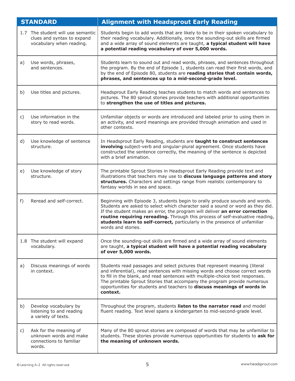|       | <b>STANDARD</b>                                                                             | <b>Alignment with Headsprout Early Reading</b>                                                                                                                                                                                                                                                                                                                                                                                     |
|-------|---------------------------------------------------------------------------------------------|------------------------------------------------------------------------------------------------------------------------------------------------------------------------------------------------------------------------------------------------------------------------------------------------------------------------------------------------------------------------------------------------------------------------------------|
|       | 1.7 The student will use semantic<br>clues and syntax to expand<br>vocabulary when reading. | Students begin to add words that are likely to be in their spoken vocabulary to<br>their reading vocabulary. Additionally, once the sounding-out skills are firmed<br>and a wide array of sound elements are taught, a typical student will have<br>a potential reading vocabulary of over 5,000 words.                                                                                                                            |
| a)    | Use words, phrases,<br>and sentences.                                                       | Students learn to sound out and read words, phrases, and sentences throughout<br>the program. By the end of Episode 1, students can read their first words, and<br>by the end of Episode 80, students are reading stories that contain words,<br>phrases, and sentences up to a mid-second-grade level.                                                                                                                            |
| b)    | Use titles and pictures.                                                                    | Headsprout Early Reading teaches students to match words and sentences to<br>pictures. The 80 sprout stories provide teachers with additional opportunities<br>to strengthen the use of titles and pictures.                                                                                                                                                                                                                       |
| C)    | Use information in the<br>story to read words.                                              | Unfamiliar objects or words are introduced and labeled prior to using them in<br>an activity, and word meanings are provided through animation and used in<br>other contexts.                                                                                                                                                                                                                                                      |
| d)    | Use knowledge of sentence<br>structure.                                                     | In Headsprout Early Reading, students are taught to construct sentences<br>involving subject-verb and singular-plural agreement. Once students have<br>constructed the sentence correctly, the meaning of the sentence is depicted<br>with a brief animation.                                                                                                                                                                      |
| e)    | Use knowledge of story<br>structure.                                                        | The printable Sprout Stories in Headsprout Early Reading provide text and<br>illustrations that teachers may use to discuss language patterns and story<br>structures. Characters and settings range from realistic contemporary to<br>fantasy worlds in sea and space.                                                                                                                                                            |
| $f$ ) | Reread and self-correct.                                                                    | Beginning with Episode 3, students begin to orally produce sounds and words.<br>Students are asked to select which character said a sound or word as they did.<br>If the student makes an error, the program will deliver an error correction<br>routine requiring rereading. Through this process of self-evaluative reading,<br>students learn to self-correct, particularly in the presence of unfamiliar<br>words and stories. |
|       | 1.8 The student will expand<br>vocabulary.                                                  | Once the sounding-out skills are firmed and a wide array of sound elements<br>are taught, a typical student will have a potential reading vocabulary<br>of over 5,000 words.                                                                                                                                                                                                                                                       |
| a)    | Discuss meanings of words<br>in context.                                                    | Students read passages and select pictures that represent meaning (literal<br>and inferential), read sentences with missing words and choose correct words<br>to fill in the blank, and read sentences with multiple-choice text responses.<br>The printable Sprout Stories that accompany the program provide numerous<br>opportunities for students and teachers to discuss meanings of words in<br>context.                     |
| b)    | Develop vocabulary by<br>listening to and reading<br>a variety of texts.                    | Throughout the program, students listen to the narrator read and model<br>fluent reading. Text level spans a kindergarten to mid-second-grade level.                                                                                                                                                                                                                                                                               |
| C)    | Ask for the meaning of<br>unknown words and make<br>connections to familiar<br>words.       | Many of the 80 sprout stories are composed of words that may be unfamiliar to<br>students. These stories provide numerous opportunities for students to ask for<br>the meaning of unknown words.                                                                                                                                                                                                                                   |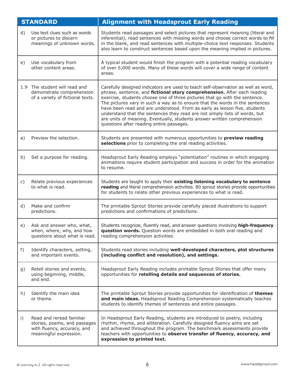|    | <b>STANDARD</b>                                                                                                   | <b>Alignment with Headsprout Early Reading</b>                                                                                                                                                                                                                                                                                                                                                                                                                                                                                                                                                               |
|----|-------------------------------------------------------------------------------------------------------------------|--------------------------------------------------------------------------------------------------------------------------------------------------------------------------------------------------------------------------------------------------------------------------------------------------------------------------------------------------------------------------------------------------------------------------------------------------------------------------------------------------------------------------------------------------------------------------------------------------------------|
| d) | Use text clues such as words<br>or pictures to discern<br>meanings of unknown words.                              | Students read passages and select pictures that represent meaning (literal and<br>inferential), read sentences with missing words and choose correct words to fill<br>in the blank, and read sentences with multiple-choice text responses. Students<br>also learn to construct sentences based upon the meaning implied in pictures.                                                                                                                                                                                                                                                                        |
| e) | Use vocabulary from<br>other content areas.                                                                       | A typical student would finish the program with a potential reading vocabulary<br>of over 5,000 words. Many of these words will cover a wide range of content<br>areas.                                                                                                                                                                                                                                                                                                                                                                                                                                      |
|    | 1.9 The student will read and<br>demonstrate comprehension<br>of a variety of fictional texts.                    | Carefully designed indicators are used to teach self-observation as well as word,<br>phrase, sentence, and fictional story comprehension. After each reading<br>exercise, students choose one of three pictures that go with the sentence.<br>The pictures vary in such a way as to ensure that the words in the sentences<br>have been read and are understood. From as early as lesson five, students<br>understand that the sentences they read are not simply lists of words, but<br>are units of meaning. Eventually, students answer written comprehension<br>questions after reading entire passages. |
| a) | Preview the selection.                                                                                            | Students are presented with numerous opportunities to preview reading<br>selections prior to completing the oral reading activities.                                                                                                                                                                                                                                                                                                                                                                                                                                                                         |
| b) | Set a purpose for reading.                                                                                        | Headsprout Early Reading employs "potentiation" routines in which engaging<br>animations require student participation and success in order for the animation<br>to resume.                                                                                                                                                                                                                                                                                                                                                                                                                                  |
| C) | Relate previous experiences<br>to what is read.                                                                   | Students are taught to apply their existing listening vocabulary to sentence<br>reading and literal comprehension activities. 80 sprout stories provide opportunities<br>for students to relate other previous experiences to what is read.                                                                                                                                                                                                                                                                                                                                                                  |
| d) | Make and confirm<br>predictions.                                                                                  | The printable Sprout Stories provide carefully placed illustrations to support<br>predictions and confirmations of predictions.                                                                                                                                                                                                                                                                                                                                                                                                                                                                              |
| e) | Ask and answer who, what,<br>when, where, why, and how<br>questions about what is read.                           | Students recognize, fluently read, and answer questions involving high-frequency<br>question words. Question words are embedded in both oral reading and<br>reading comprehension activities.                                                                                                                                                                                                                                                                                                                                                                                                                |
| f) | Identify characters, setting,<br>and important events.                                                            | Students read stories including well-developed characters, plot structures<br>(including conflict and resolution), and settings.                                                                                                                                                                                                                                                                                                                                                                                                                                                                             |
| g) | Retell stories and events,<br>using beginning, middle,<br>and end.                                                | Headsprout Early Reading includes printable Sprout Stories that offer many<br>opportunities for retelling details and sequences of stories.                                                                                                                                                                                                                                                                                                                                                                                                                                                                  |
| h) | Identify the main idea<br>or theme.                                                                               | The printable Sprout Stories provide opportunities for identification of themes<br>and main ideas. Headsprout Reading Comprehension systematically teaches<br>students to identify themes of sentences and entire passages.                                                                                                                                                                                                                                                                                                                                                                                  |
| i) | Read and reread familiar<br>stories, poems, and passages<br>with fluency, accuracy, and<br>meaningful expression. | In Headsprout Early Reading, students are introduced to poetry, including<br>rhythm, rhyme, and alliteration. Carefully designed fluency aims are set<br>and achieved throughout the program. The benchmark assessments provide<br>teachers with opportunities to observe transfer of fluency, accuracy, and<br>expression to printed text.                                                                                                                                                                                                                                                                  |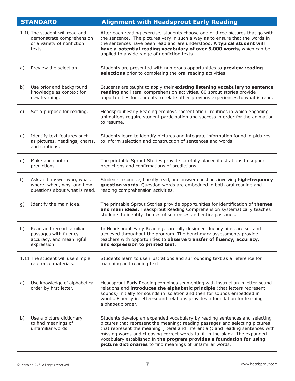|    | <b>STANDARD</b>                                                                                     | <b>Alignment with Headsprout Early Reading</b>                                                                                                                                                                                                                                                                                                                                                                                                                       |
|----|-----------------------------------------------------------------------------------------------------|----------------------------------------------------------------------------------------------------------------------------------------------------------------------------------------------------------------------------------------------------------------------------------------------------------------------------------------------------------------------------------------------------------------------------------------------------------------------|
|    | 1.10 The student will read and<br>demonstrate comprehension<br>of a variety of nonfiction<br>texts. | After each reading exercise, students choose one of three pictures that go with<br>the sentence. The pictures vary in such a way as to ensure that the words in<br>the sentences have been read and are understood. A typical student will<br>have a potential reading vocabulary of over 5,000 words, which can be<br>applied to a wide range of nonfiction texts.                                                                                                  |
| a) | Preview the selection.                                                                              | Students are presented with numerous opportunities to preview reading<br>selections prior to completing the oral reading activities.                                                                                                                                                                                                                                                                                                                                 |
| b) | Use prior and background<br>knowledge as context for<br>new learning.                               | Students are taught to apply their existing listening vocabulary to sentence<br>reading and literal comprehension activities. 80 sprout stories provide<br>opportunities for students to relate other previous experiences to what is read.                                                                                                                                                                                                                          |
| c) | Set a purpose for reading.                                                                          | Headsprout Early Reading employs "potentiation" routines in which engaging<br>animations require student participation and success in order for the animation<br>to resume.                                                                                                                                                                                                                                                                                          |
| d) | Identify text features such<br>as pictures, headings, charts,<br>and captions.                      | Students learn to identify pictures and integrate information found in pictures<br>to inform selection and construction of sentences and words.                                                                                                                                                                                                                                                                                                                      |
| e) | Make and confirm<br>predictions.                                                                    | The printable Sprout Stories provide carefully placed illustrations to support<br>predictions and confirmations of predictions.                                                                                                                                                                                                                                                                                                                                      |
| f) | Ask and answer who, what,<br>where, when, why, and how<br>questions about what is read.             | Students recognize, fluently read, and answer questions involving high-frequency<br>question words. Question words are embedded in both oral reading and<br>reading comprehension activities.                                                                                                                                                                                                                                                                        |
| g) | Identify the main idea.                                                                             | The printable Sprout Stories provide opportunities for identification of themes<br>and main ideas. Headsprout Reading Comprehension systematically teaches<br>students to identify themes of sentences and entire passages.                                                                                                                                                                                                                                          |
| h) | Read and reread familiar<br>passages with fluency,<br>accuracy, and meaningful<br>expression.       | In Headsprout Early Reading, carefully designed fluency aims are set and<br>achieved throughout the program. The benchmark assessments provide<br>teachers with opportunities to observe transfer of fluency, accuracy,<br>and expression to printed text.                                                                                                                                                                                                           |
|    | 1.11 The student will use simple<br>reference materials.                                            | Students learn to use illustrations and surrounding text as a reference for<br>matching and reading text.                                                                                                                                                                                                                                                                                                                                                            |
| a) | Use knowledge of alphabetical<br>order by first letter.                                             | Headsprout Early Reading combines segmenting with instruction in letter-sound<br>relations and introduces the alphabetic principle (that letters represent<br>sounds) initially for sounds in isolation and then for sounds embedded in<br>words. Fluency in letter-sound relations provides a foundation for learning<br>alphabetic order.                                                                                                                          |
| b) | Use a picture dictionary<br>to find meanings of<br>unfamiliar words.                                | Students develop an expanded vocabulary by reading sentences and selecting<br>pictures that represent the meaning; reading passages and selecting pictures<br>that represent the meaning (literal and inferential); and reading sentences with<br>missing words and choosing correct words to fill in the blank. The expanded<br>vocabulary established in the program provides a foundation for using<br>picture dictionaries to find meanings of unfamiliar words. |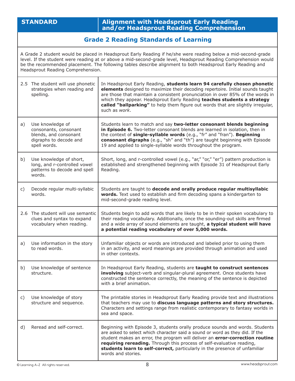### **STANDARD Alignment with Headsprout Early Reading and/or Headsprout Reading Comprehension**

## **Grade 2 Reading Standards of Learning**

A Grade 2 student would be placed in Headsprout Early Reading if he/she were reading below a mid-second-grade level. If the student were reading at or above a mid-second-grade level, Headsprout Reading Comprehension would be the recommended placement. The following tables describe alignment to both Headsprout Early Reading and Headsprout Reading Comprehension.

|    | 2.5 The student will use phonetic<br>strategies when reading and<br>spelling.                                | In Headsprout Early Reading, students learn 94 carefully chosen phonetic<br>elements designed to maximize their decoding repertoire. Initial sounds taught<br>are those that maintain a consistent pronunciation in over 85% of the words in<br>which they appear. Headsprout Early Reading teaches students a strategy<br>called "ballparking" to help them figure out words that are slightly irregular,<br>such as work. |
|----|--------------------------------------------------------------------------------------------------------------|-----------------------------------------------------------------------------------------------------------------------------------------------------------------------------------------------------------------------------------------------------------------------------------------------------------------------------------------------------------------------------------------------------------------------------|
| a) | Use knowledge of<br>consonants, consonant<br>blends, and consonant<br>digraphs to decode and<br>spell words. | Students learn to match and say two-letter consonant blends beginning<br>in Episode 6. Two-letter consonant blends are learned in isolation, then in<br>the context of single-syllable words (e.g., "fr" and "fran"). Beginning<br>consonant digraphs (e.g., "sh" and "th") are taught beginning with Episode<br>19 and applied to single-syllable words throughout the program.                                            |
| b) | Use knowledge of short,<br>long, and r-controlled vowel<br>patterns to decode and spell<br>words.            | Short, long, and r-controlled vowel (e.g., "ar," "or," "er") pattern production is<br>established and strengthened beginning with Episode 31 of Headsprout Early<br>Reading.                                                                                                                                                                                                                                                |
| C) | Decode regular multi-syllabic<br>words.                                                                      | Students are taught to decode and orally produce regular multisyllabic<br>words. Text used to establish and firm decoding spans a kindergarten to<br>mid-second-grade reading level.                                                                                                                                                                                                                                        |
|    | 2.6 The student will use semantic<br>clues and syntax to expand<br>vocabulary when reading.                  | Students begin to add words that are likely to be in their spoken vocabulary to<br>their reading vocabulary. Additionally, once the sounding-out skills are firmed<br>and a wide array of sound elements are taught, a typical student will have<br>a potential reading vocabulary of over 5,000 words.                                                                                                                     |
| a) | Use information in the story<br>to read words.                                                               | Unfamiliar objects or words are introduced and labeled prior to using them<br>in an activity, and word meanings are provided through animation and used<br>in other contexts.                                                                                                                                                                                                                                               |
| b) | Use knowledge of sentence<br>structure.                                                                      | In Headsprout Early Reading, students are taught to construct sentences<br>involving subject-verb and singular-plural agreement. Once students have<br>constructed the sentence correctly, the meaning of the sentence is depicted<br>with a brief animation.                                                                                                                                                               |
| C) | Use knowledge of story<br>structure and sequence.                                                            | The printable stories in Headsprout Early Reading provide text and illustrations<br>that teachers may use to discuss language patterns and story structures.<br>Characters and settings range from realistic contemporary to fantasy worlds in<br>sea and space.                                                                                                                                                            |
| d) | Reread and self-correct.                                                                                     | Beginning with Episode 3, students orally produce sounds and words. Students<br>are asked to select which character said a sound or word as they did. If the<br>student makes an error, the program will deliver an error-correction routine<br>requiring rereading. Through this process of self-evaluative reading,<br>students learn to self-correct, particularly in the presence of unfamiliar<br>words and stories.   |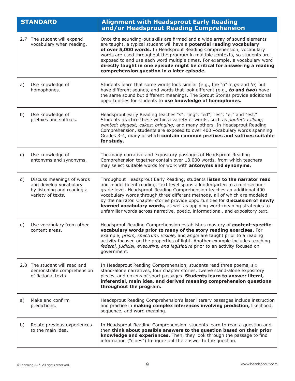|    | <b>STANDARD</b>                                                                                        | <b>Alignment with Headsprout Early Reading</b><br>and/or Headsprout Reading Comprehension                                                                                                                                                                                                                                                                                                                                                                                                                                                                        |
|----|--------------------------------------------------------------------------------------------------------|------------------------------------------------------------------------------------------------------------------------------------------------------------------------------------------------------------------------------------------------------------------------------------------------------------------------------------------------------------------------------------------------------------------------------------------------------------------------------------------------------------------------------------------------------------------|
|    | 2.7 The student will expand<br>vocabulary when reading.                                                | Once the sounding-out skills are firmed and a wide array of sound elements<br>are taught, a typical student will have a potential reading vocabulary<br>of over 5,000 words. In Headsprout Reading Comprehension, vocabulary<br>words are used throughout the program in multiple contexts, so students are<br>exposed to and use each word multiple times. For example, a vocabulary word<br>directly taught in one episode might be critical for answering a reading<br>comprehension question in a later episode.                                             |
| a) | Use knowledge of<br>homophones.                                                                        | Students learn that some words look similar (e.g., the "o" in go and to) but<br>have different sounds, and words that look different (e.g., to and two) have<br>the same sound but different meanings. The Sprout Stories provide additional<br>opportunities for students to use knowledge of homophones.                                                                                                                                                                                                                                                       |
| b) | Use knowledge of<br>prefixes and suffixes.                                                             | Headsprout Early Reading teaches "s"; "ing"; "ed"; "es"; "er" and "est."<br>Students practice these within a variety of words, such as pouted; talking;<br>wanted; biggest; cakes; bringing; and many others. In Headsprout Reading<br>Comprehension, students are exposed to over 400 vocabulary words spanning<br>Grades 3-4, many of which contain common prefixes and suffixes suitable<br>for study.                                                                                                                                                        |
| c) | Use knowledge of<br>antonyms and synonyms.                                                             | The many narrative and expository passages of Headsprout Reading<br>Comprehension together contain over 13,000 words, from which teachers<br>may select suitable words for work with antonyms and synonyms.                                                                                                                                                                                                                                                                                                                                                      |
| d) | Discuss meanings of words<br>and develop vocabulary<br>by listening and reading a<br>variety of texts. | Throughout Headsprout Early Reading, students listen to the narrator read<br>and model fluent reading. Text level spans a kindergarten to a mid-second-<br>grade level. Headsprout Reading Comprehension teaches an additional 400<br>vocabulary words through three different methods, all of which are modeled<br>by the narrator. Chapter stories provide opportunities for discussion of newly<br>learned vocabulary words, as well as applying word-meaning strategies to<br>unfamiliar words across narrative, poetic, informational, and expository text. |
| e) | Use vocabulary from other<br>content areas.                                                            | Headsprout Reading Comprehension establishes mastery of content-specific<br>vocabulary words prior to many of the story reading exercises. For<br>example, prism, spectrum, visible, and angle are taught prior to a reading<br>activity focused on the properties of light. Another example includes teaching<br>federal, judicial, executive, and legislative prior to an activity focused on<br>government.                                                                                                                                                   |
|    | 2.8 The student will read and<br>demonstrate comprehension<br>of fictional texts.                      | In Headsprout Reading Comprehension, students read three poems, six<br>stand-alone narratives, four chapter stories, twelve stand-alone expository<br>pieces, and dozens of short passages. Students learn to answer literal,<br>inferential, main idea, and derived meaning comprehension questions<br>throughout the program.                                                                                                                                                                                                                                  |
| a) | Make and confirm<br>predictions.                                                                       | Headsprout Reading Comprehension's later literary passages include instruction<br>and practice in making complex inferences involving prediction, likelihood,<br>sequence, and word meaning.                                                                                                                                                                                                                                                                                                                                                                     |
| b) | Relate previous experiences<br>to the main idea.                                                       | In Headsprout Reading Comprehension, students learn to read a question and<br>then think about possible answers to the question based on their prior<br>knowledge and experiences. Then, they look through the passage to find<br>information ("clues") to figure out the answer to the question.                                                                                                                                                                                                                                                                |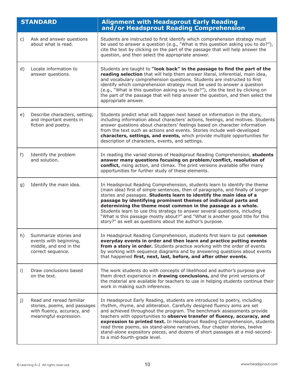|    | <b>STANDARD</b>                                                                                                   | <b>Alignment with Headsprout Early Reading</b><br>and/or Headsprout Reading Comprehension                                                                                                                                                                                                                                                                                                                                                                                                                                                                                                          |
|----|-------------------------------------------------------------------------------------------------------------------|----------------------------------------------------------------------------------------------------------------------------------------------------------------------------------------------------------------------------------------------------------------------------------------------------------------------------------------------------------------------------------------------------------------------------------------------------------------------------------------------------------------------------------------------------------------------------------------------------|
| C) | Ask and answer questions<br>about what is read.                                                                   | Students are instructed to first identify which comprehension strategy must<br>be used to answer a question (e.g., "What is this question asking you to do?"),<br>cite the text by clicking on the part of the passage that will help answer the<br>question, and then select the appropriate answer.                                                                                                                                                                                                                                                                                              |
| d) | Locate information to<br>answer questions.                                                                        | Students are taught to "look back" in the passage to find the part of the<br>reading selection that will help them answer literal, inferential, main idea,<br>and vocabulary comprehension questions. Students are instructed to first<br>identify which comprehension strategy must be used to answer a question<br>(e.g., "What is this question asking you to do?"), cite the text by clicking on<br>the part of the passage that will help answer the question, and then select the<br>appropriate answer.                                                                                     |
| e) | Describe characters, setting,<br>and important events in<br>fiction and poetry.                                   | Students predict what will happen next based on information in the story,<br>including information about characters' actions, feelings, and motives. Students<br>answer questions about characters' feelings based on character information<br>from the text such as actions and events. Stories include well-developed<br>characters, settings, and events, which provide multiple opportunities for<br>description of characters, events, and settings.                                                                                                                                          |
| f) | Identify the problem<br>and solution.                                                                             | In reading the varied stories of Headsprout Reading Comprehension, students<br>answer many questions focusing on problem/conflict, resolution of<br>conflict, rising action, and climax. The print versions available offer many<br>opportunities for further study of these elements.                                                                                                                                                                                                                                                                                                             |
| g) | Identify the main idea.                                                                                           | In Headsprout Reading Comprehension, students learn to identify the theme<br>(main idea) first of simple sentences, then of paragraphs, and finally of longer<br>stories and passages. Students learn to identify the main idea of a<br>passage by identifying prominent themes of individual parts and<br>determining the theme most common in the passage as a whole.<br>Students learn to use this strategy to answer several questions, including<br>"What is this passage mostly about?" and "What is another good title for this<br>story?" as well as questions about the author's purpose. |
| h) | Summarize stories and<br>events with beginning,<br>middle, and end in the<br>correct sequence.                    | In Headsprout Reading Comprehension, students first learn to put common<br>everyday events in order and then learn and practice putting events<br>from a story in order. Students practice working with the order of events<br>by working with sequence diagrams and by answering questions about events<br>that happened first, next, last, before, and after other events.                                                                                                                                                                                                                       |
| i) | Draw conclusions based<br>on the text.                                                                            | The work students do with concepts of likelihood and author's purpose give<br>them direct experience in drawing conclusions, and the print versions of<br>the material are available for teachers to use in helping students continue their<br>work in making such inferences.                                                                                                                                                                                                                                                                                                                     |
| j) | Read and reread familiar<br>stories, poems, and passages<br>with fluency, accuracy, and<br>meaningful expression. | In Headsprout Early Reading, students are introduced to poetry, including<br>rhythm, rhyme, and alliteration. Carefully designed fluency aims are set<br>and achieved throughout the program. The benchmark assessments provide<br>teachers with opportunities to observe transfer of fluency, accuracy, and<br>expression to printed text. In Headsprout Reading Comprehension, students<br>read three poems, six stand-alone narratives, four chapter stories, twelve<br>stand-alone expository pieces, and dozens of short passages at a mid-second-<br>to a mid-fourth-grade level.            |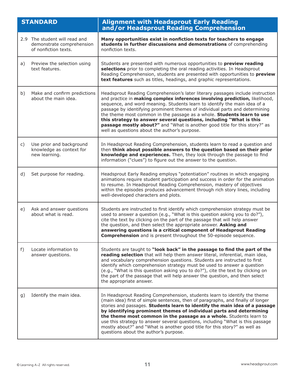|                | <b>STANDARD</b>                                                                    | <b>Alignment with Headsprout Early Reading</b><br>and/or Headsprout Reading Comprehension                                                                                                                                                                                                                                                                                                                                                                                                                                                                                                                |
|----------------|------------------------------------------------------------------------------------|----------------------------------------------------------------------------------------------------------------------------------------------------------------------------------------------------------------------------------------------------------------------------------------------------------------------------------------------------------------------------------------------------------------------------------------------------------------------------------------------------------------------------------------------------------------------------------------------------------|
|                | 2.9 The student will read and<br>demonstrate comprehension<br>of nonfiction texts. | Many opportunities exist in nonfiction texts for teachers to engage<br>students in further discussions and demonstrations of comprehending<br>nonfiction texts.                                                                                                                                                                                                                                                                                                                                                                                                                                          |
| a)             | Preview the selection using<br>text features.                                      | Students are presented with numerous opportunities to preview reading<br>selections prior to completing the oral reading activities. In Headsprout<br>Reading Comprehension, students are presented with opportunities to preview<br>text features such as titles, headings, and graphic representations.                                                                                                                                                                                                                                                                                                |
| b)             | Make and confirm predictions<br>about the main idea.                               | Headsprout Reading Comprehension's later literary passages include instruction<br>and practice in making complex inferences involving prediction, likelihood,<br>sequence, and word meaning. Students learn to identify the main idea of a<br>passage by identifying prominent themes of individual parts and determining<br>the theme most common in the passage as a whole. Students learn to use<br>this strategy to answer several questions, including "What is this<br>passage mostly about?" and "What is another good title for this story?" as<br>well as questions about the author's purpose. |
| $\mathsf{C}$ ) | Use prior and background<br>knowledge as context for<br>new learning.              | In Headsprout Reading Comprehension, students learn to read a question and<br>then think about possible answers to the question based on their prior<br>knowledge and experiences. Then, they look through the passage to find<br>information ("clues") to figure out the answer to the question.                                                                                                                                                                                                                                                                                                        |
| d)             | Set purpose for reading.                                                           | Headsprout Early Reading employs "potentiation" routines in which engaging<br>animations require student participation and success in order for the animation<br>to resume. In Headsprout Reading Comprehension, mastery of objectives<br>within the episodes produces advancement through rich story lines, including<br>well-developed characters and plots.                                                                                                                                                                                                                                           |
| e)             | Ask and answer questions<br>about what is read.                                    | Students are instructed to first identify which comprehension strategy must be<br>used to answer a question (e.g., "What is this question asking you to do?"),<br>cite the text by clicking on the part of the passage that will help answer<br>the question, and then select the appropriate answer. Asking and<br>answering questions is a critical component of Headsprout Reading<br><b>Comprehension</b> and is present throughout the 50-episode sequence.                                                                                                                                         |
| f)             | Locate information to<br>answer questions.                                         | Students are taught to "look back" in the passage to find the part of the<br>reading selection that will help them answer literal, inferential, main idea,<br>and vocabulary comprehension questions. Students are instructed to first<br>identify which comprehension strategy must be used to answer a question<br>(e.g., "What is this question asking you to do?"), cite the text by clicking on<br>the part of the passage that will help answer the question, and then select<br>the appropriate answer.                                                                                           |
| g)             | Identify the main idea.                                                            | In Headsprout Reading Comprehension, students learn to identify the theme<br>(main idea) first of simple sentences, then of paragraphs, and finally of longer<br>stories and passages. Students learn to identify the main idea of a passage<br>by identifying prominent themes of individual parts and determining<br>the theme most common in the passage as a whole. Students learn to<br>use this strategy to answer several questions, including "What is this passage<br>mostly about?" and "What is another good title for this story?" as well as<br>questions about the author's purpose.       |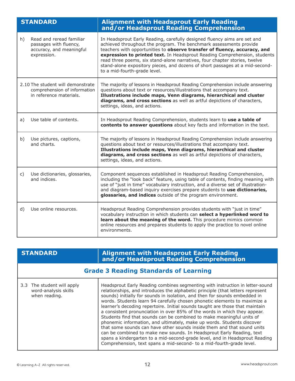| <b>STANDARD</b> |                                                                                               | <b>Alignment with Headsprout Early Reading</b><br>and/or Headsprout Reading Comprehension                                                                                                                                                                                                                                                                                                                                                                                                              |
|-----------------|-----------------------------------------------------------------------------------------------|--------------------------------------------------------------------------------------------------------------------------------------------------------------------------------------------------------------------------------------------------------------------------------------------------------------------------------------------------------------------------------------------------------------------------------------------------------------------------------------------------------|
| h)              | Read and reread familiar<br>passages with fluency,<br>accuracy, and meaningful<br>expression. | In Headsprout Early Reading, carefully designed fluency aims are set and<br>achieved throughout the program. The benchmark assessments provide<br>teachers with opportunities to observe transfer of fluency, accuracy, and<br>expression to printed text. In Headsprout Reading Comprehension, students<br>read three poems, six stand-alone narratives, four chapter stories, twelve<br>stand-alone expository pieces, and dozens of short passages at a mid-second-<br>to a mid-fourth-grade level. |
|                 | 2.10 The student will demonstrate<br>comprehension of information<br>in reference materials.  | The majority of lessons in Headsprout Reading Comprehension include answering<br>questions about text or resources/illustrations that accompany text.<br>Illustrations include maps, Venn diagrams, hierarchical and cluster<br>diagrams, and cross sections as well as artful depictions of characters,<br>settings, ideas, and actions.                                                                                                                                                              |
| a)              | Use table of contents.                                                                        | In Headsprout Reading Comprehension, students learn to use a table of<br>contents to answer questions about key facts and information in the text.                                                                                                                                                                                                                                                                                                                                                     |
| b)              | Use pictures, captions,<br>and charts.                                                        | The majority of lessons in Headsprout Reading Comprehension include answering<br>questions about text or resources/illustrations that accompany text.<br>Illustrations include maps, Venn diagrams, hierarchical and cluster<br>diagrams, and cross sections as well as artful depictions of characters,<br>settings, ideas, and actions.                                                                                                                                                              |
| C)              | Use dictionaries, glossaries,<br>and indices.                                                 | Component sequences established in Headsprout Reading Comprehension,<br>including the "look back" feature, using table of contents, finding meaning with<br>use of "just in time" vocabulary instruction, and a diverse set of illustration-<br>and diagram-based inquiry exercises prepare students to use dictionaries,<br>glossaries, and indices outside of the program environment.                                                                                                               |
| d)              | Use online resources.                                                                         | Headsprout Reading Comprehension provides students with "just in time"<br>vocabulary instruction in which students can select a hyperlinked word to<br>learn about the meaning of the word. This procedure mimics common<br>online resources and prepares students to apply the practice to novel online<br>environments.                                                                                                                                                                              |

| <b>STANDARD</b>                                                     | <b>Alignment with Headsprout Early Reading</b><br>and/or Headsprout Reading Comprehension                                                                                                                                                                                                                                                                                                                                                                                                                                                                                                                                                                                                                                                                                                                                                                                                                                                             |  |
|---------------------------------------------------------------------|-------------------------------------------------------------------------------------------------------------------------------------------------------------------------------------------------------------------------------------------------------------------------------------------------------------------------------------------------------------------------------------------------------------------------------------------------------------------------------------------------------------------------------------------------------------------------------------------------------------------------------------------------------------------------------------------------------------------------------------------------------------------------------------------------------------------------------------------------------------------------------------------------------------------------------------------------------|--|
| <b>Grade 3 Reading Standards of Learning</b>                        |                                                                                                                                                                                                                                                                                                                                                                                                                                                                                                                                                                                                                                                                                                                                                                                                                                                                                                                                                       |  |
| 3.3 The student will apply<br>word-analysis skills<br>when reading. | Headsprout Early Reading combines segmenting with instruction in letter-sound<br>relationships, and introduces the alphabetic principle (that letters represent<br>sounds) initially for sounds in isolation, and then for sounds embedded in<br>words. Students learn 94 carefully chosen phonetic elements to maximize a<br>learner's decoding repertoire. Initial sounds taught are those that maintain<br>a consistent pronunciation in over 85% of the words in which they appear.<br>Students find that sounds can be combined to make meaningful units of<br>phonemic information, and ultimately, make up words. Students discover<br>that some sounds can have other sounds inside them and that sound units<br>can be combined to make new sounds. In Headsprout Early Reading, text<br>spans a kindergarten to a mid-second-grade level, and in Headsprout Reading<br>Comprehension, text spans a mid-second- to a mid-fourth-grade level. |  |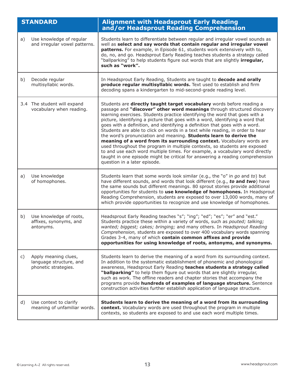|    | <b>STANDARD</b>                                                         | <b>Alignment with Headsprout Early Reading</b><br>and/or Headsprout Reading Comprehension                                                                                                                                                                                                                                                                                                                                                                                                                                                                                                                                                                                                                                                                                                                                                                                                                    |
|----|-------------------------------------------------------------------------|--------------------------------------------------------------------------------------------------------------------------------------------------------------------------------------------------------------------------------------------------------------------------------------------------------------------------------------------------------------------------------------------------------------------------------------------------------------------------------------------------------------------------------------------------------------------------------------------------------------------------------------------------------------------------------------------------------------------------------------------------------------------------------------------------------------------------------------------------------------------------------------------------------------|
| a) | Use knowledge of regular<br>and irregular vowel patterns.               | Students learn to differentiate between regular and irregular vowel sounds as<br>well as select and say words that contain regular and irregular vowel<br>patterns. For example, in Episode 61, students work extensively with to,<br>do, no, and go. Headsprout Early Reading teaches students a strategy called<br>"ballparking" to help students figure out words that are slightly irregular,<br>such as "work".                                                                                                                                                                                                                                                                                                                                                                                                                                                                                         |
| b) | Decode regular<br>multisyllabic words.                                  | In Headsprout Early Reading, Students are taught to decode and orally<br>produce regular multisyllabic words. Text used to establish and firm<br>decoding spans a kindergarten to mid-second-grade reading level.                                                                                                                                                                                                                                                                                                                                                                                                                                                                                                                                                                                                                                                                                            |
|    | 3.4 The student will expand<br>vocabulary when reading.                 | Students are directly taught target vocabulary words before reading a<br>passage and "discover" other word meanings through structured discovery<br>learning exercises. Students practice identifying the word that goes with a<br>picture, identifying a picture that goes with a word, identifying a word that<br>goes with a definition, and identifying a definition that goes with a word.<br>Students are able to click on words in a text while reading, in order to hear<br>the word's pronunciation and meaning. Students learn to derive the<br>meaning of a word from its surrounding context. Vocabulary words are<br>used throughout the program in multiple contexts, so students are exposed<br>to and use each word multiple times. For example, a vocabulary word directly<br>taught in one episode might be critical for answering a reading comprehension<br>question in a later episode. |
| a) | Use knowledge<br>of homophones.                                         | Students learn that some words look similar (e.g., the "o" in go and to) but<br>have different sounds, and words that look different (e.g., to and two) have<br>the same sounds but different meanings. 80 sprout stories provide additional<br>opportunities for students to use knowledge of homophones. In Headsprout<br>Reading Comprehension, students are exposed to over 13,000 words, many of<br>which provide opportunities to recognize and use knowledge of homophones.                                                                                                                                                                                                                                                                                                                                                                                                                           |
| b) | Use knowledge of roots,<br>affixes, synonyms, and<br>antonyms.          | Headsprout Early Reading teaches "s"; "ing"; "ed"; "es"; "er" and "est."<br>Students practice these within a variety of words, such as pouted; talking;<br>wanted; biggest; cakes; bringing; and many others. In Headsprout Reading<br>Comprehension, students are exposed to over 400 vocabulary words spanning<br>Grades 3-4, many of which contain common affixes and provide<br>opportunities for using knowledge of roots, antonyms, and synonyms.                                                                                                                                                                                                                                                                                                                                                                                                                                                      |
| C) | Apply meaning clues,<br>language structure, and<br>phonetic strategies. | Students learn to derive the meaning of a word from its surrounding context.<br>In addition to the systematic establishment of phonemic and phonological<br>awareness, Headsprout Early Reading teaches students a strategy called<br>"ballparking" to help them figure out words that are slightly irregular,<br>such as work. The offline readers and chapter stories that accompany the<br>programs provide hundreds of examples of language structure. Sentence<br>construction activities further establish application of language structure.                                                                                                                                                                                                                                                                                                                                                          |
| d) | Use context to clarify<br>meaning of unfamiliar words.                  | Students learn to derive the meaning of a word from its surrounding<br>context. Vocabulary words are used throughout the program in multiple<br>contexts, so students are exposed to and use each word multiple times.                                                                                                                                                                                                                                                                                                                                                                                                                                                                                                                                                                                                                                                                                       |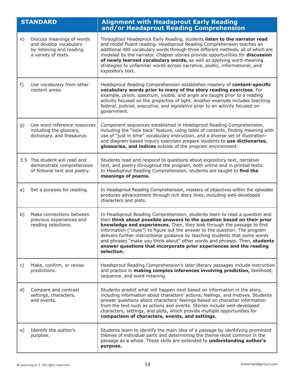|                | <b>STANDARD</b>                                                                                        | <b>Alignment with Headsprout Early Reading</b><br>and/or Headsprout Reading Comprehension                                                                                                                                                                                                                                                                                                                                                                                                                                                                        |
|----------------|--------------------------------------------------------------------------------------------------------|------------------------------------------------------------------------------------------------------------------------------------------------------------------------------------------------------------------------------------------------------------------------------------------------------------------------------------------------------------------------------------------------------------------------------------------------------------------------------------------------------------------------------------------------------------------|
| e)             | Discuss meanings of words<br>and develop vocabulary<br>by listening and reading<br>a variety of texts. | Throughout Headsprout Early Reading, students listen to the narrator read<br>and model fluent reading. Headsprout Reading Comprehension teaches an<br>additional 400 vocabulary words through three different methods, all of which are<br>modeled by the narrator. Chapter stories provide opportunities for discussion<br>of newly learned vocabulary words, as well as applying word-meaning<br>strategies to unfamiliar words across narrative, poetic, informational, and<br>expository text.                                                               |
| f)             | Use vocabulary from other<br>content areas.                                                            | Headsprout Reading Comprehension establishes mastery of content-specific<br>vocabulary words prior to many of the story reading exercises. For<br>example, prism, spectrum, visible, and angle are taught prior to a reading<br>activity focused on the properties of light. Another example includes teaching<br>federal, judicial, executive, and legislative prior to an activity focused on<br>government.                                                                                                                                                   |
| g)             | Use word reference resources<br>including the glossary,<br>dictionary, and thesaurus.                  | Component sequences established in Headsprout Reading Comprehension,<br>including the "look back" feature, using table of contents, finding meaning with<br>use of "just in time" vocabulary instruction, and a diverse set of illustration-<br>and diagram-based inquiry exercises prepare students to use dictionaries,<br>glossaries, and indices outside of the program environment.                                                                                                                                                                         |
|                | 3.5 The student will read and<br>demonstrate comprehension<br>of fictional text and poetry.            | Students read and respond to questions about expository text, narrative<br>text, and poetry throughout the program, both online and in printed texts.<br>In Headsprout Reading Comprehension, students are taught to find the<br>meanings of poems.                                                                                                                                                                                                                                                                                                              |
| a)             | Set a purpose for reading.                                                                             | In Headsprout Reading Comprehension, mastery of objectives within the episodes<br>produces advancement through rich story lines, including well-developed<br>characters and plots.                                                                                                                                                                                                                                                                                                                                                                               |
| b)             | Make connections between<br>previous experiences and<br>reading selections.                            | In Headsprout Reading Comprehension, students learn to read a question and<br>then think about possible answers to the question based on their prior<br>knowledge and experiences. Then, they look through the passage to find<br>information ("clues") to figure out the answer to the question. The program<br>delivers further instructional guidance by teaching students that some words<br>and phrases "make you think about" other words and phrases. Then, students<br>answer questions that incorporate prior experiences and the reading<br>selection. |
| c)             | Make, confirm, or revise<br>predictions.                                                               | Headsprout Reading Comprehension's later literary passages include instruction<br>and practice in making complex inferences involving prediction, likelihood,<br>sequence, and word meaning.                                                                                                                                                                                                                                                                                                                                                                     |
| $\mathsf{d}$ ) | Compare and contrast<br>settings, characters,<br>and events.                                           | Students predict what will happen next based on information in the story,<br>including information about characters' actions, feelings, and motives. Students<br>answer questions about characters' feelings based on character information<br>from the text such as actions and events. Stories include well-developed<br>characters, settings, and plots, which provide multiple opportunities for<br>comparison of characters, events, and settings.                                                                                                          |
| e)             | Identify the author's<br>purpose.                                                                      | Students learn to identify the main idea of a passage by identifying prominent<br>themes of individual parts and determining the theme most common in the<br>passage as a whole. These skills are extended to understanding author's<br>purpose.                                                                                                                                                                                                                                                                                                                 |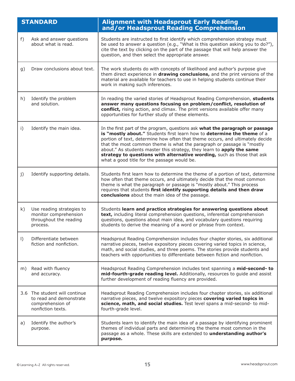|           | <b>STANDARD</b>                                                                                   | <b>Alignment with Headsprout Early Reading</b><br>and/or Headsprout Reading Comprehension                                                                                                                                                                                                                                                                                                                                                                                                                              |
|-----------|---------------------------------------------------------------------------------------------------|------------------------------------------------------------------------------------------------------------------------------------------------------------------------------------------------------------------------------------------------------------------------------------------------------------------------------------------------------------------------------------------------------------------------------------------------------------------------------------------------------------------------|
| f)        | Ask and answer questions<br>about what is read.                                                   | Students are instructed to first identify which comprehension strategy must<br>be used to answer a question (e.g., "What is this question asking you to do?"),<br>cite the text by clicking on the part of the passage that will help answer the<br>question, and then select the appropriate answer.                                                                                                                                                                                                                  |
| g)        | Draw conclusions about text.                                                                      | The work students do with concepts of likelihood and author's purpose give<br>them direct experience in drawing conclusions, and the print versions of the<br>material are available for teachers to use in helping students continue their<br>work in making such inferences.                                                                                                                                                                                                                                         |
| h)        | Identify the problem<br>and solution.                                                             | In reading the varied stories of Headsprout Reading Comprehension, students<br>answer many questions focusing on problem/conflict, resolution of<br>conflict, rising action, and climax. The print versions available offer many<br>opportunities for further study of these elements.                                                                                                                                                                                                                                 |
| i)        | Identify the main idea.                                                                           | In the first part of the program, questions ask what the paragraph or passage<br>is "mostly about." Students first learn how to determine the theme of a<br>portion of text, determine how often that theme occurs, and ultimately decide<br>that the most common theme is what the paragraph or passage is "mostly<br>about." As students master this strategy, they learn to apply the same<br>strategy to questions with alternative wording, such as those that ask<br>what a good title for the passage would be. |
| j)        | Identify supporting details.                                                                      | Students first learn how to determine the theme of a portion of text, determine<br>how often that theme occurs, and ultimately decide that the most common<br>theme is what the paragraph or passage is "mostly about." This process<br>requires that students first identify supporting details and then draw<br>conclusions about the main idea of the passage.                                                                                                                                                      |
| k)        | Use reading strategies to<br>monitor comprehension<br>throughout the reading<br>process.          | Students learn and practice strategies for answering questions about<br>text, including literal comprehension questions, inferential comprehension<br>questions, questions about main idea, and vocabulary questions requiring<br>students to derive the meaning of a word or phrase from context.                                                                                                                                                                                                                     |
| $\vert$ ) | Differentiate between<br>fiction and nonfiction.                                                  | Headsprout Reading Comprehension includes four chapter stories, six additional<br>narrative pieces, twelve expository pieces covering varied topics in science,<br>math, and social studies, and three poems. The stories provide students and<br>teachers with opportunities to differentiate between fiction and nonfiction.                                                                                                                                                                                         |
| m)        | Read with fluency<br>and accuracy.                                                                | Headsprout Reading Comprehension includes text spanning a mid-second- to<br>mid-fourth-grade reading level. Additionally, resources to guide and assist<br>further development of reading fluency are provided.                                                                                                                                                                                                                                                                                                        |
|           | 3.6 The student will continue<br>to read and demonstrate<br>comprehension of<br>nonfiction texts. | Headsprout Reading Comprehension includes four chapter stories, six additional<br>narrative pieces, and twelve expository pieces covering varied topics in<br>science, math, and social studies. Test level spans a mid-second- to mid-<br>fourth-grade level.                                                                                                                                                                                                                                                         |
| a)        | Identify the author's<br>purpose.                                                                 | Students learn to identify the main idea of a passage by identifying prominent<br>themes of individual parts and determining the theme most common in the<br>passage as a whole. These skills are extended to understanding author's<br>purpose.                                                                                                                                                                                                                                                                       |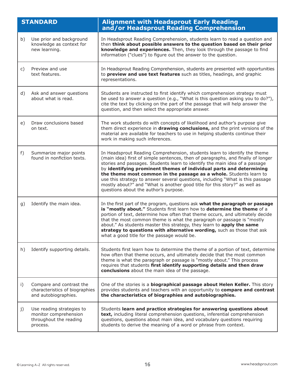|                | <b>STANDARD</b>                                                                          | <b>Alignment with Headsprout Early Reading</b><br>and/or Headsprout Reading Comprehension                                                                                                                                                                                                                                                                                                                                                                                                                                                                                                          |
|----------------|------------------------------------------------------------------------------------------|----------------------------------------------------------------------------------------------------------------------------------------------------------------------------------------------------------------------------------------------------------------------------------------------------------------------------------------------------------------------------------------------------------------------------------------------------------------------------------------------------------------------------------------------------------------------------------------------------|
| b)             | Use prior and background<br>knowledge as context for<br>new learning.                    | In Headsprout Reading Comprehension, students learn to read a question and<br>then think about possible answers to the question based on their prior<br>knowledge and experiences. Then, they look through the passage to find<br>information ("clues") to figure out the answer to the question.                                                                                                                                                                                                                                                                                                  |
| C)             | Preview and use<br>text features.                                                        | In Headsprout Reading Comprehension, students are presented with opportunities<br>to preview and use text features such as titles, headings, and graphic<br>representations.                                                                                                                                                                                                                                                                                                                                                                                                                       |
| d)             | Ask and answer questions<br>about what is read.                                          | Students are instructed to first identify which comprehension strategy must<br>be used to answer a question (e.g., "What is this question asking you to do?"),<br>cite the text by clicking on the part of the passage that will help answer the<br>question, and then select the appropriate answer.                                                                                                                                                                                                                                                                                              |
| e)             | Draw conclusions based<br>on text.                                                       | The work students do with concepts of likelihood and author's purpose give<br>them direct experience in drawing conclusions, and the print versions of the<br>material are available for teachers to use in helping students continue their<br>work in making such inferences.                                                                                                                                                                                                                                                                                                                     |
| f)             | Summarize major points<br>found in nonfiction texts.                                     | In Headsprout Reading Comprehension, students learn to identify the theme<br>(main idea) first of simple sentences, then of paragraphs, and finally of longer<br>stories and passages. Students learn to identify the main idea of a passage<br>by identifying prominent themes of individual parts and determining<br>the theme most common in the passage as a whole. Students learn to<br>use this strategy to answer several questions, including "What is this passage<br>mostly about?" and "What is another good title for this story?" as well as<br>questions about the author's purpose. |
| g)             | Identify the main idea.                                                                  | In the first part of the program, questions ask what the paragraph or passage<br>is "mostly about." Students first learn how to determine the theme of a<br>portion of text, determine how often that theme occurs, and ultimately decide<br>that the most common theme is what the paragraph or passage is "mostly<br>about." As students master this strategy, they learn to apply the same<br>strategy to questions with alternative wording, such as those that ask<br>what a good title for the passage would be.                                                                             |
| h)             | Identify supporting details.                                                             | Students first learn how to determine the theme of a portion of text, determine<br>how often that theme occurs, and ultimately decide that the most common<br>theme is what the paragraph or passage is "mostly about." This process<br>requires that students first identify supporting details and then draw<br>conclusions about the main idea of the passage.                                                                                                                                                                                                                                  |
| $\mathsf{i}$ ) | Compare and contrast the<br>characteristics of biographies<br>and autobiographies.       | One of the stories is a <b>biographical passage about Helen Keller.</b> This story<br>provides students and teachers with an opportunity to compare and contrast<br>the characteristics of biographies and autobiographies.                                                                                                                                                                                                                                                                                                                                                                        |
| j)             | Use reading strategies to<br>monitor comprehension<br>throughout the reading<br>process. | Students learn and practice strategies for answering questions about<br>text, including literal comprehension questions, inferential comprehension<br>questions, questions about main idea, and vocabulary questions requiring<br>students to derive the meaning of a word or phrase from context.                                                                                                                                                                                                                                                                                                 |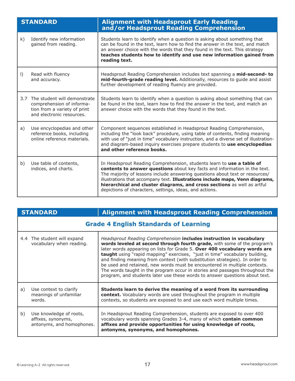|           | <b>STANDARD</b>                                                                                                        | <b>Alignment with Headsprout Early Reading</b><br>and/or Headsprout Reading Comprehension                                                                                                                                                                                                                                                                                                                                                                 |
|-----------|------------------------------------------------------------------------------------------------------------------------|-----------------------------------------------------------------------------------------------------------------------------------------------------------------------------------------------------------------------------------------------------------------------------------------------------------------------------------------------------------------------------------------------------------------------------------------------------------|
| k)        | Identify new information<br>gained from reading.                                                                       | Students learn to identify when a question is asking about something that<br>can be found in the text, learn how to find the answer in the text, and match<br>an answer choice with the words that they found in the text. This strategy<br>teaches students how to identify and use new information gained from<br>reading text.                                                                                                                         |
| $\vert$ ) | Read with fluency<br>and accuracy.                                                                                     | Headsprout Reading Comprehension includes text spanning a mid-second- to<br>mid-fourth-grade reading level. Additionally, resources to guide and assist<br>further development of reading fluency are provided.                                                                                                                                                                                                                                           |
| 3.7       | The student will demonstrate<br>comprehension of informa-<br>tion from a variety of print<br>and electronic resources. | Students learn to identify when a question is asking about something that can<br>be found in the text, learn how to find the answer in the text, and match an<br>answer choice with the words that they found in the text.                                                                                                                                                                                                                                |
| a)        | Use encyclopedias and other<br>reference books, including<br>online reference materials.                               | Component sequences established in Headsprout Reading Comprehension,<br>including the "look back" procedure, using table of contents, finding meaning<br>with use of "just in time" vocabulary instruction, and a diverse set of illustration-<br>and diagram-based inquiry exercises prepare students to use encyclopedias<br>and other reference books.                                                                                                 |
| b)        | Use table of contents,<br>indices, and charts.                                                                         | In Headsprout Reading Comprehension, students learn to use a table of<br>contents to answer questions about key facts and information in the text.<br>The majority of lessons include answering questions about text or resources/<br>illustrations that accompany text. Illustrations include maps, Venn diagrams,<br>hierarchical and cluster diagrams, and cross sections as well as artful<br>depictions of characters, settings, ideas, and actions. |

|    | <b>STANDARD</b>                                                            | <b>Alignment with Headsprout Reading Comprehension</b>                                                                                                                                                                                                                                                                                                                                                                                                                                                                                                                                                                                  |  |
|----|----------------------------------------------------------------------------|-----------------------------------------------------------------------------------------------------------------------------------------------------------------------------------------------------------------------------------------------------------------------------------------------------------------------------------------------------------------------------------------------------------------------------------------------------------------------------------------------------------------------------------------------------------------------------------------------------------------------------------------|--|
|    | <b>Grade 4 English Standards of Learning</b>                               |                                                                                                                                                                                                                                                                                                                                                                                                                                                                                                                                                                                                                                         |  |
|    | 4.4 The student will expand<br>vocabulary when reading.                    | Headsprout Reading Comprehension includes instruction in vocabulary<br>words leveled at second through fourth grade, with some of the program's<br>later words appearing on lists for Grade 5. Over 400 vocabulary words are<br>taught using "rapid mapping" exercises, "just in time" vocabulary building,<br>and finding meaning from context (with substitution strategies). In order to<br>be used and retained, new words must be encountered in multiple contexts.<br>The words taught in the program occur in stories and passages throughout the<br>program, and students later use these words to answer questions about text. |  |
| a) | Use context to clarify<br>meanings of unfamiliar<br>words.                 | Students learn to derive the meaning of a word from its surrounding<br>context. Vocabulary words are used throughout the program in multiple<br>contexts, so students are exposed to and use each word multiple times.                                                                                                                                                                                                                                                                                                                                                                                                                  |  |
| b) | Use knowledge of roots,<br>affixes, synonyms,<br>antonyms, and homophones. | In Headsprout Reading Comprehension, students are exposed to over 400<br>vocabulary words spanning Grades 3-4, many of which contain common<br>affixes and provide opportunities for using knowledge of roots,<br>antonyms, synonyms, and homophones.                                                                                                                                                                                                                                                                                                                                                                                   |  |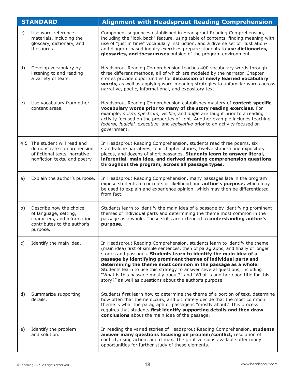|    | <b>STANDARD</b>                                                                                                              | <b>Alignment with Headsprout Reading Comprehension</b>                                                                                                                                                                                                                                                                                                                                                                                                                                                                                                                                             |
|----|------------------------------------------------------------------------------------------------------------------------------|----------------------------------------------------------------------------------------------------------------------------------------------------------------------------------------------------------------------------------------------------------------------------------------------------------------------------------------------------------------------------------------------------------------------------------------------------------------------------------------------------------------------------------------------------------------------------------------------------|
| C) | Use word-reference<br>materials, including the<br>glossary, dictionary, and<br>thesaurus.                                    | Component sequences established in Headsprout Reading Comprehension,<br>including the "look back" feature, using table of contents, finding meaning with<br>use of "just in time" vocabulary instruction, and a diverse set of illustration-<br>and diagram-based inquiry exercises prepare students to use dictionaries,<br>glossaries, and thesauruses outside of the program environment.                                                                                                                                                                                                       |
| d) | Develop vocabulary by<br>listening to and reading<br>a variety of texts.                                                     | Headsprout Reading Comprehension teaches 400 vocabulary words through<br>three different methods, all of which are modeled by the narrator. Chapter<br>stories provide opportunities for discussion of newly learned vocabulary<br>words, as well as applying word-meaning strategies to unfamiliar words across<br>narrative, poetic, informational, and expository text.                                                                                                                                                                                                                         |
| e) | Use vocabulary from other<br>content areas.                                                                                  | Headsprout Reading Comprehension establishes mastery of content-specific<br>vocabulary words prior to many of the story reading exercises. For<br>example, prism, spectrum, visible, and angle are taught prior to a reading<br>activity focused on the properties of light. Another example includes teaching<br>federal, judicial, executive, and legislative prior to an activity focused on<br>government.                                                                                                                                                                                     |
|    | 4.5 The student will read and<br>demonstrate comprehension<br>of fictional texts, narrative<br>nonfiction texts, and poetry. | In Headsprout Reading Comprehension, students read three poems, six<br>stand-alone narratives, four chapter stories, twelve stand-alone expository<br>pieces, and dozens of short passages. Students learn to answer literal,<br>inferential, main idea, and derived meaning comprehension questions<br>throughout the program, across all passage types.                                                                                                                                                                                                                                          |
| a) | Explain the author's purpose.                                                                                                | In Headsprout Reading Comprehension, many passages late in the program<br>expose students to concepts of likelihood and <b>author's purpose,</b> which may<br>be used to explain and experience opinion, which may then be differentiated<br>from fact.                                                                                                                                                                                                                                                                                                                                            |
| b) | Describe how the choice<br>of language, setting,<br>characters, and information<br>contributes to the author's<br>purpose.   | Students learn to identify the main idea of a passage by identifying prominent<br>themes of individual parts and determining the theme most common in the<br>passage as a whole. These skills are extended to understanding author's<br>purpose.                                                                                                                                                                                                                                                                                                                                                   |
| C) | Identify the main idea.                                                                                                      | In Headsprout Reading Comprehension, students learn to identify the theme<br>(main idea) first of simple sentences, then of paragraphs, and finally of longer<br>stories and passages. Students learn to identify the main idea of a<br>passage by identifying prominent themes of individual parts and<br>determining the theme most common in the passage as a whole.<br>Students learn to use this strategy to answer several questions, including<br>"What is this passage mostly about?" and "What is another good title for this<br>story?" as well as questions about the author's purpose. |
| d) | Summarize supporting<br>details.                                                                                             | Students first learn how to determine the theme of a portion of text, determine<br>how often that theme occurs, and ultimately decide that the most common<br>theme is what the paragraph or passage is "mostly about." This process<br>requires that students first identify supporting details and then draw<br>conclusions about the main idea of the passage.                                                                                                                                                                                                                                  |
| e) | Identify the problem<br>and solution.                                                                                        | In reading the varied stories of Headsprout Reading Comprehension, students<br>answer many questions focusing on problem/conflict, resolution of<br>conflict, rising action, and climax. The print versions available offer many<br>opportunities for further study of these elements.                                                                                                                                                                                                                                                                                                             |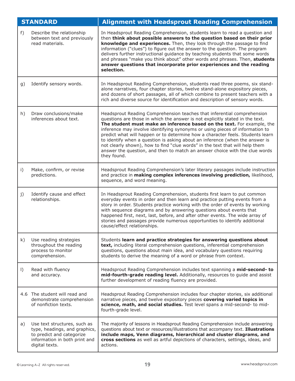|         | <b>STANDARD</b>                                                                                                                               | <b>Alignment with Headsprout Reading Comprehension</b>                                                                                                                                                                                                                                                                                                                                                                                                                                                                                                                                                                                                             |
|---------|-----------------------------------------------------------------------------------------------------------------------------------------------|--------------------------------------------------------------------------------------------------------------------------------------------------------------------------------------------------------------------------------------------------------------------------------------------------------------------------------------------------------------------------------------------------------------------------------------------------------------------------------------------------------------------------------------------------------------------------------------------------------------------------------------------------------------------|
| $f$ )   | Describe the relationship<br>between text and previously<br>read materials.                                                                   | In Headsprout Reading Comprehension, students learn to read a question and<br>then think about possible answers to the question based on their prior<br>knowledge and experiences. Then, they look through the passage to find<br>information ("clues") to figure out the answer to the question. The program<br>delivers further instructional guidance by teaching students that some words<br>and phrases "make you think about" other words and phrases. Then, students<br>answer questions that incorporate prior experiences and the reading<br>selection.                                                                                                   |
| g)      | Identify sensory words.                                                                                                                       | In Headsprout Reading Comprehension, students read three poems, six stand-<br>alone narratives, four chapter stories, twelve stand-alone expository pieces,<br>and dozens of short passages, all of which combine to present teachers with a<br>rich and diverse source for identification and description of sensory words.                                                                                                                                                                                                                                                                                                                                       |
| h)      | Draw conclusions/make<br>inferences about text.                                                                                               | Headsprout Reading Comprehension teaches that inferential comprehension<br>questions are those in which the answer is not explicitly stated in the text.<br>The student must make an inference based on the text. For example, the<br>inference may involve identifying synonyms or using pieces of information to<br>predict what will happen or to determine how a character feels. Students learn<br>to identify when a question is asking about an inference (when the answer is<br>not clearly shown), how to find "clue words" in the text that will help them<br>answer the question, and then to match an answer choice with the clue words<br>they found. |
| i)      | Make, confirm, or revise<br>predictions.                                                                                                      | Headsprout Reading Comprehension's later literary passages include instruction<br>and practice in making complex inferences involving prediction, likelihood,<br>sequence, and word meaning.                                                                                                                                                                                                                                                                                                                                                                                                                                                                       |
| j)      | Identify cause and effect<br>relationships.                                                                                                   | In Headsprout Reading Comprehension, students first learn to put common<br>everyday events in order and then learn and practice putting events from a<br>story in order. Students practice working with the order of events by working<br>with sequence diagrams and by answering questions about events that<br>happened first, next, last, before, and after other events. The wide array of<br>stories and passages provide numerous opportunities to identify additional<br>cause/effect relationships.                                                                                                                                                        |
| k)      | Use reading strategies<br>throughout the reading<br>process to monitor<br>comprehension.                                                      | Students learn and practice strategies for answering questions about<br>text, including literal comprehension questions, inferential comprehension<br>questions, questions about main idea, and vocabulary questions requiring<br>students to derive the meaning of a word or phrase from context.                                                                                                                                                                                                                                                                                                                                                                 |
| $\vert$ | Read with fluency<br>and accuracy.                                                                                                            | Headsprout Reading Comprehension includes text spanning a mid-second- to<br>mid-fourth-grade reading level. Additionally, resources to guide and assist<br>further development of reading fluency are provided.                                                                                                                                                                                                                                                                                                                                                                                                                                                    |
|         | 4.6 The student will read and<br>demonstrate comprehension<br>of nonfiction texts.                                                            | Headsprout Reading Comprehension includes four chapter stories, six additional<br>narrative pieces, and twelve expository pieces covering varied topics in<br>science, math, and social studies. Test level spans a mid-second- to mid-<br>fourth-grade level.                                                                                                                                                                                                                                                                                                                                                                                                     |
| a)      | Use text structures, such as<br>type, headings, and graphics,<br>to predict and categorize<br>information in both print and<br>digital texts. | The majority of lessons in Headsprout Reading Comprehension include answering<br>questions about text or resources/illustrations that accompany text. Illustrations<br>include maps, Venn diagrams, hierarchical and cluster diagrams, and<br>cross sections as well as artful depictions of characters, settings, ideas, and<br>actions.                                                                                                                                                                                                                                                                                                                          |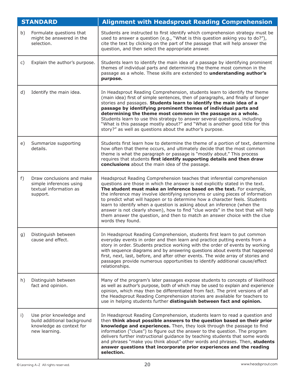|    | <b>STANDARD</b>                                                                                     | <b>Alignment with Headsprout Reading Comprehension</b>                                                                                                                                                                                                                                                                                                                                                                                                                                                                                                                                                                                                             |
|----|-----------------------------------------------------------------------------------------------------|--------------------------------------------------------------------------------------------------------------------------------------------------------------------------------------------------------------------------------------------------------------------------------------------------------------------------------------------------------------------------------------------------------------------------------------------------------------------------------------------------------------------------------------------------------------------------------------------------------------------------------------------------------------------|
| b) | Formulate questions that<br>might be answered in the<br>selection.                                  | Students are instructed to first identify which comprehension strategy must be<br>used to answer a question (e.g., "What is this question asking you to do?"),<br>cite the text by clicking on the part of the passage that will help answer the<br>question, and then select the appropriate answer.                                                                                                                                                                                                                                                                                                                                                              |
| C) | Explain the author's purpose.                                                                       | Students learn to identify the main idea of a passage by identifying prominent<br>themes of individual parts and determining the theme most common in the<br>passage as a whole. These skills are extended to understanding author's<br>purpose.                                                                                                                                                                                                                                                                                                                                                                                                                   |
| d) | Identify the main idea.                                                                             | In Headsprout Reading Comprehension, students learn to identify the theme<br>(main idea) first of simple sentences, then of paragraphs, and finally of longer<br>stories and passages. Students learn to identify the main idea of a<br>passage by identifying prominent themes of individual parts and<br>determining the theme most common in the passage as a whole.<br>Students learn to use this strategy to answer several questions, including<br>"What is this passage mostly about?" and "What is another good title for this<br>story?" as well as questions about the author's purpose.                                                                 |
| e) | Summarize supporting<br>details.                                                                    | Students first learn how to determine the theme of a portion of text, determine<br>how often that theme occurs, and ultimately decide that the most common<br>theme is what the paragraph or passage is "mostly about." This process<br>requires that students first identify supporting details and then draw<br>conclusions about the main idea of the passage.                                                                                                                                                                                                                                                                                                  |
| f) | Draw conclusions and make<br>simple inferences using<br>textual information as<br>support.          | Headsprout Reading Comprehension teaches that inferential comprehension<br>questions are those in which the answer is not explicitly stated in the text.<br>The student must make an inference based on the text. For example,<br>the inference may involve identifying synonyms or using pieces of information<br>to predict what will happen or to determine how a character feels. Students<br>learn to identify when a question is asking about an inference (when the<br>answer is not clearly shown), how to find "clue words" in the text that will help<br>them answer the question, and then to match an answer choice with the clue<br>words they found. |
| g) | Distinguish between<br>cause and effect.                                                            | In Headsprout Reading Comprehension, students first learn to put common<br>everyday events in order and then learn and practice putting events from a<br>story in order. Students practice working with the order of events by working<br>with sequence diagrams and by answering questions about events that happened<br>first, next, last, before, and after other events. The wide array of stories and<br>passages provide numerous opportunities to identify additional cause/effect<br>relationships.                                                                                                                                                        |
| h) | Distinguish between<br>fact and opinion.                                                            | Many of the program's later passages expose students to concepts of likelihood<br>as well as author's purpose, both of which may be used to explain and experience<br>opinion, which may then be differentiated from fact. The print versions of all<br>the Headsprout Reading Comprehension stories are available for teachers to<br>use in helping students further distinguish between fact and opinion.                                                                                                                                                                                                                                                        |
| i) | Use prior knowledge and<br>build additional background<br>knowledge as context for<br>new learning. | In Headsprout Reading Comprehension, students learn to read a question and<br>then think about possible answers to the question based on their prior<br>knowledge and experiences. Then, they look through the passage to find<br>information ("clues") to figure out the answer to the question. The program<br>delivers further instructional guidance by teaching students that some words<br>and phrases "make you think about" other words and phrases. Then, students<br>answer questions that incorporate prior experiences and the reading<br>selection.                                                                                                   |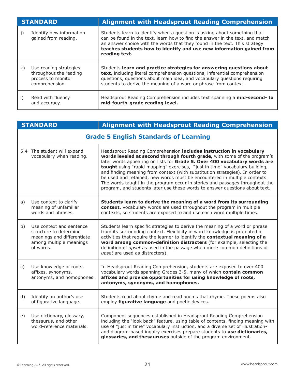| <b>STANDARD</b> |                                                                                          | <b>Alignment with Headsprout Reading Comprehension</b>                                                                                                                                                                                                                                                                            |
|-----------------|------------------------------------------------------------------------------------------|-----------------------------------------------------------------------------------------------------------------------------------------------------------------------------------------------------------------------------------------------------------------------------------------------------------------------------------|
| j)              | Identify new information<br>gained from reading.                                         | Students learn to identify when a question is asking about something that<br>can be found in the text, learn how to find the answer in the text, and match<br>an answer choice with the words that they found in the text. This strategy<br>teaches students how to identify and use new information gained from<br>reading text. |
| k)              | Use reading strategies<br>throughout the reading<br>process to monitor<br>comprehension. | Students learn and practice strategies for answering questions about<br>text, including literal comprehension questions, inferential comprehension<br>questions, questions about main idea, and vocabulary questions requiring<br>students to derive the meaning of a word or phrase from context.                                |
| $\vert$         | Read with fluency<br>and accuracy.                                                       | Headsprout Reading Comprehension includes text spanning a mid-second- to<br>mid-fourth-grade reading level.                                                                                                                                                                                                                       |

| <b>STANDARD</b> |                                                                                                                          | <b>Alignment with Headsprout Reading Comprehension</b>                                                                                                                                                                                                                                                                                                                                                                                                                                                                                                                                                                                  |  |  |  |
|-----------------|--------------------------------------------------------------------------------------------------------------------------|-----------------------------------------------------------------------------------------------------------------------------------------------------------------------------------------------------------------------------------------------------------------------------------------------------------------------------------------------------------------------------------------------------------------------------------------------------------------------------------------------------------------------------------------------------------------------------------------------------------------------------------------|--|--|--|
|                 | <b>Grade 5 English Standards of Learning</b>                                                                             |                                                                                                                                                                                                                                                                                                                                                                                                                                                                                                                                                                                                                                         |  |  |  |
|                 | 5.4 The student will expand<br>vocabulary when reading.                                                                  | Headsprout Reading Comprehension includes instruction in vocabulary<br>words leveled at second through fourth grade, with some of the program's<br>later words appearing on lists for Grade 5. Over 400 vocabulary words are<br>taught using "rapid mapping" exercises, "just in time" vocabulary building,<br>and finding meaning from context (with substitution strategies). In order to<br>be used and retained, new words must be encountered in multiple contexts.<br>The words taught in the program occur in stories and passages throughout the<br>program, and students later use these words to answer questions about text. |  |  |  |
| a)              | Use context to clarify<br>meaning of unfamiliar<br>words and phrases.                                                    | Students learn to derive the meaning of a word from its surrounding<br>context. Vocabulary words are used throughout the program in multiple<br>contexts, so students are exposed to and use each word multiple times.                                                                                                                                                                                                                                                                                                                                                                                                                  |  |  |  |
| b)              | Use context and sentence<br>structure to determine<br>meanings and differentiate<br>among multiple meanings<br>of words. | Students learn specific strategies to derive the meaning of a word or phrase<br>from its surrounding context. Flexibility in word knowledge is promoted in<br>activities that require the learner to identify the contextual meaning of a<br>word among common-definition distracters (for example, selecting the<br>definition of <i>upset</i> as used in the passage when more common definitions of<br>upset are used as distracters).                                                                                                                                                                                               |  |  |  |
| c)              | Use knowledge of roots,<br>affixes, synonyms,<br>antonyms, and homophones.                                               | In Headsprout Reading Comprehension, students are exposed to over 400<br>vocabulary words spanning Grades 3-5, many of which contain common<br>affixes and provide opportunities for using knowledge of roots,<br>antonyms, synonyms, and homophones.                                                                                                                                                                                                                                                                                                                                                                                   |  |  |  |
| d)              | Identify an author's use<br>of figurative language.                                                                      | Students read about rhyme and read poems that rhyme. These poems also<br>employ figurative language and poetic devices.                                                                                                                                                                                                                                                                                                                                                                                                                                                                                                                 |  |  |  |
| e)              | Use dictionary, glossary,<br>thesaurus, and other<br>word-reference materials.                                           | Component sequences established in Headsprout Reading Comprehension<br>including the "look back" feature, using table of contents, finding meaning with<br>use of "just in time" vocabulary instruction, and a diverse set of illustration-<br>and diagram-based inquiry exercises prepare students to use dictionaries,<br>glossaries, and thesauruses outside of the program environment.                                                                                                                                                                                                                                             |  |  |  |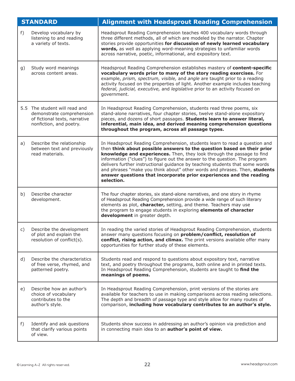| <b>STANDARD</b> |                                                                                                                        | <b>Alignment with Headsprout Reading Comprehension</b>                                                                                                                                                                                                                                                                                                                                                                                                                                                                                                           |
|-----------------|------------------------------------------------------------------------------------------------------------------------|------------------------------------------------------------------------------------------------------------------------------------------------------------------------------------------------------------------------------------------------------------------------------------------------------------------------------------------------------------------------------------------------------------------------------------------------------------------------------------------------------------------------------------------------------------------|
| f)              | Develop vocabulary by<br>listening to and reading<br>a variety of texts.                                               | Headsprout Reading Comprehension teaches 400 vocabulary words through<br>three different methods, all of which are modeled by the narrator. Chapter<br>stories provide opportunities for discussion of newly learned vocabulary<br>words, as well as applying word-meaning strategies to unfamiliar words<br>across narrative, poetic, informational, and expository text.                                                                                                                                                                                       |
| g)              | Study word meanings<br>across content areas.                                                                           | Headsprout Reading Comprehension establishes mastery of content-specific<br>vocabulary words prior to many of the story reading exercises. For<br>example, prism, spectrum, visible, and angle are taught prior to a reading<br>activity focused on the properties of light. Another example includes teaching<br>federal, judicial, executive, and legislative prior to an activity focused on<br>government.                                                                                                                                                   |
|                 | 5.5 The student will read and<br>demonstrate comprehension<br>of fictional texts, narrative<br>nonfiction, and poetry. | In Headsprout Reading Comprehension, students read three poems, six<br>stand-alone narratives, four chapter stories, twelve stand-alone expository<br>pieces, and dozens of short passages. Students learn to answer literal,<br>inferential, main idea, and derived meaning comprehension questions<br>throughout the program, across all passage types.                                                                                                                                                                                                        |
| a)              | Describe the relationship<br>between text and previously<br>read materials.                                            | In Headsprout Reading Comprehension, students learn to read a question and<br>then think about possible answers to the question based on their prior<br>knowledge and experiences. Then, they look through the passage to find<br>information ("clues") to figure out the answer to the question. The program<br>delivers further instructional guidance by teaching students that some words<br>and phrases "make you think about" other words and phrases. Then, students<br>answer questions that incorporate prior experiences and the reading<br>selection. |
| b)              | Describe character<br>development.                                                                                     | The four chapter stories, six stand-alone narratives, and one story in rhyme<br>of Headsprout Reading Comprehension provide a wide range of such literary<br>elements as plot, character, setting, and theme. Teachers may use<br>the program to engage students in exploring elements of character<br>development in greater depth.                                                                                                                                                                                                                             |
| c)              | Describe the development<br>of plot and explain the<br>resolution of conflict(s).                                      | In reading the varied stories of Headsprout Reading Comprehension, students<br>answer many questions focusing on <b>problem/conflict, resolution of</b><br>conflict, rising action, and climax. The print versions available offer many<br>opportunities for further study of these elements.                                                                                                                                                                                                                                                                    |
| d)              | Describe the characteristics<br>of free verse, rhymed, and<br>patterned poetry.                                        | Students read and respond to questions about expository text, narrative<br>text, and poetry throughout the programs, both online and in printed texts.<br>In Headsprout Reading Comprehension, students are taught to find the<br>meanings of poems.                                                                                                                                                                                                                                                                                                             |
| e)              | Describe how an author's<br>choice of vocabulary<br>contributes to the<br>author's style.                              | In Headsprout Reading Comprehension, print versions of the stories are<br>available for teachers to use in making comparisons across reading selections.<br>The depth and breadth of passage type and style allow for many routes of<br>comparison, including how vocabulary contributes to an author's style.                                                                                                                                                                                                                                                   |
| f)              | Identify and ask questions<br>that clarify various points<br>of view.                                                  | Students show success in addressing an author's opinion via prediction and<br>in connecting main idea to an author's point of view.                                                                                                                                                                                                                                                                                                                                                                                                                              |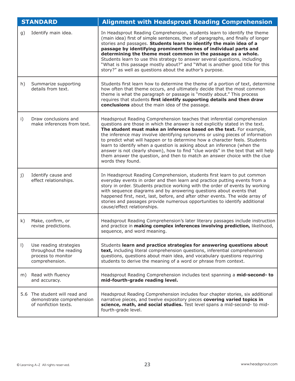| <b>STANDARD</b> |                                                                                          | <b>Alignment with Headsprout Reading Comprehension</b>                                                                                                                                                                                                                                                                                                                                                                                                                                                                                                                                                                                                             |
|-----------------|------------------------------------------------------------------------------------------|--------------------------------------------------------------------------------------------------------------------------------------------------------------------------------------------------------------------------------------------------------------------------------------------------------------------------------------------------------------------------------------------------------------------------------------------------------------------------------------------------------------------------------------------------------------------------------------------------------------------------------------------------------------------|
| g)              | Identify main idea.                                                                      | In Headsprout Reading Comprehension, students learn to identify the theme<br>(main idea) first of simple sentences, then of paragraphs, and finally of longer<br>stories and passages. Students learn to identify the main idea of a<br>passage by identifying prominent themes of individual parts and<br>determining the theme most common in the passage as a whole.<br>Students learn to use this strategy to answer several questions, including<br>"What is this passage mostly about?" and "What is another good title for this<br>story?" as well as questions about the author's purpose.                                                                 |
| h)              | Summarize supporting<br>details from text.                                               | Students first learn how to determine the theme of a portion of text, determine<br>how often that theme occurs, and ultimately decide that the most common<br>theme is what the paragraph or passage is "mostly about." This process<br>requires that students first identify supporting details and then draw<br>conclusions about the main idea of the passage.                                                                                                                                                                                                                                                                                                  |
| i)              | Draw conclusions and<br>make inferences from text.                                       | Headsprout Reading Comprehension teaches that inferential comprehension<br>questions are those in which the answer is not explicitly stated in the text.<br>The student must make an inference based on the text. For example,<br>the inference may involve identifying synonyms or using pieces of information<br>to predict what will happen or to determine how a character feels. Students<br>learn to identify when a question is asking about an inference (when the<br>answer is not clearly shown), how to find "clue words" in the text that will help<br>them answer the question, and then to match an answer choice with the clue<br>words they found. |
| j)              | Identify cause and<br>effect relationships.                                              | In Headsprout Reading Comprehension, students first learn to put common<br>everyday events in order and then learn and practice putting events from a<br>story in order. Students practice working with the order of events by working<br>with sequence diagrams and by answering questions about events that<br>happened first, next, last, before, and after other events. The wide array of<br>stories and passages provide numerous opportunities to identify additional<br>cause/effect relationships.                                                                                                                                                        |
| k)              | Make, confirm, or<br>revise predictions.                                                 | Headsprout Reading Comprehension's later literary passages include instruction<br>and practice in making complex inferences involving prediction, likelihood,<br>sequence, and word meaning.                                                                                                                                                                                                                                                                                                                                                                                                                                                                       |
| $\vert$ )       | Use reading strategies<br>throughout the reading<br>process to monitor<br>comprehension. | Students learn and practice strategies for answering questions about<br>text, including literal comprehension questions, inferential comprehension<br>questions, questions about main idea, and vocabulary questions requiring<br>students to derive the meaning of a word or phrase from context.                                                                                                                                                                                                                                                                                                                                                                 |
| m)              | Read with fluency<br>and accuracy.                                                       | Headsprout Reading Comprehension includes text spanning a mid-second- to<br>mid-fourth-grade reading level.                                                                                                                                                                                                                                                                                                                                                                                                                                                                                                                                                        |
|                 | 5.6 The student will read and<br>demonstrate comprehension<br>of nonfiction texts.       | Headsprout Reading Comprehension includes four chapter stories, six additional<br>narrative pieces, and twelve expository pieces covering varied topics in<br>science, math, and social studies. Test level spans a mid-second- to mid-<br>fourth-grade level.                                                                                                                                                                                                                                                                                                                                                                                                     |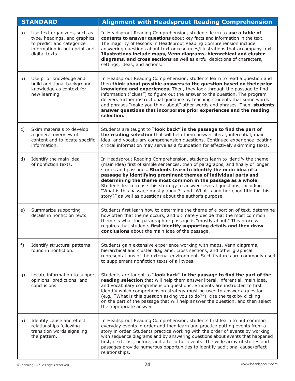|    | <b>STANDARD</b>                                                                                                                               | <b>Alignment with Headsprout Reading Comprehension</b>                                                                                                                                                                                                                                                                                                                                                                                                                                                                                                                                             |
|----|-----------------------------------------------------------------------------------------------------------------------------------------------|----------------------------------------------------------------------------------------------------------------------------------------------------------------------------------------------------------------------------------------------------------------------------------------------------------------------------------------------------------------------------------------------------------------------------------------------------------------------------------------------------------------------------------------------------------------------------------------------------|
| a) | Use text organizers, such as<br>type, headings, and graphics,<br>to predict and categorize<br>information in both print and<br>digital texts. | In Headsprout Reading Comprehension, students learn to use a table of<br>contents to answer questions about key facts and information in the text.<br>The majority of lessons in Headsprout Reading Comprehension include<br>answering questions about text or resources/illustrations that accompany text.<br>Illustrations include maps, Venn diagrams, hierarchical and cluster<br>diagrams, and cross sections as well as artful depictions of characters,<br>settings, ideas, and actions.                                                                                                    |
| b) | Use prior knowledge and<br>build additional background<br>knowledge as context for<br>new learning.                                           | In Headsprout Reading Comprehension, students learn to read a question and<br>then think about possible answers to the question based on their prior<br>knowledge and experiences. Then, they look through the passage to find<br>information ("clues") to figure out the answer to the question. The program<br>delivers further instructional guidance by teaching students that some words<br>and phrases "make you think about" other words and phrases. Then, students<br>answer questions that incorporate prior experiences and the reading<br>selection.                                   |
| c) | Skim materials to develop<br>a general overview of<br>content and to locate specific<br>information.                                          | Students are taught to "look back" in the passage to find the part of<br>the reading selection that will help them answer literal, inferential, main<br>idea, and vocabulary comprehension questions. Continued experience locating<br>critical information may serve as a foundation for effectively skimming texts.                                                                                                                                                                                                                                                                              |
| d) | Identify the main idea<br>of nonfiction texts.                                                                                                | In Headsprout Reading Comprehension, students learn to identify the theme<br>(main idea) first of simple sentences, then of paragraphs, and finally of longer<br>stories and passages. Students learn to identify the main idea of a<br>passage by identifying prominent themes of individual parts and<br>determining the theme most common in the passage as a whole.<br>Students learn to use this strategy to answer several questions, including<br>"What is this passage mostly about?" and "What is another good title for this<br>story?" as well as questions about the author's purpose. |
| e) | Summarize supporting<br>details in nonfiction texts.                                                                                          | Students first learn how to determine the theme of a portion of text, determine<br>how often that theme occurs, and ultimately decide that the most common<br>theme is what the paragraph or passage is "mostly about." This process<br>requires that students first identify supporting details and then draw<br>conclusions about the main idea of the passage.                                                                                                                                                                                                                                  |
| f) | Identify structural patterns<br>found in nonfiction.                                                                                          | Students gain extensive experience working with maps, Venn diagrams,<br>hierarchical and cluster diagrams, cross sections, and other graphical<br>representations of the external environment. Such features are commonly used<br>to supplement nonfiction texts of all types.                                                                                                                                                                                                                                                                                                                     |
| g) | Locate information to support<br>opinions, predictions, and<br>conclusions.                                                                   | Students are taught to "look back" in the passage to find the part of the<br>reading selection that will help them answer literal, inferential, main idea,<br>and vocabulary comprehension questions. Students are instructed to first<br>identify which comprehension strategy must be used to answer a question<br>(e.g., "What is this question asking you to do?"), cite the text by clicking<br>on the part of the passage that will help answer the question, and then select<br>the appropriate answer.                                                                                     |
| h) | Identify cause and effect<br>relationships following<br>transition words signaling<br>the pattern.                                            | In Headsprout Reading Comprehension, students first learn to put common<br>everyday events in order and then learn and practice putting events from a<br>story in order. Students practice working with the order of events by working<br>with sequence diagrams and by answering questions about events that happened<br>first, next, last, before, and after other events. The wide array of stories and<br>passages provide numerous opportunities to identify additional cause/effect<br>relationships.                                                                                        |